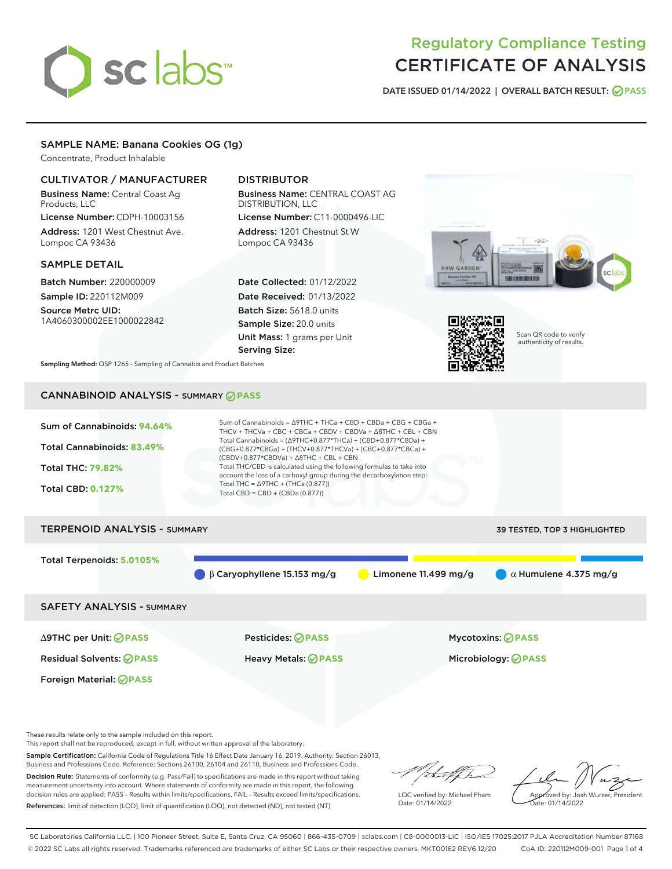# sclabs<sup>\*</sup>

# Regulatory Compliance Testing CERTIFICATE OF ANALYSIS

DATE ISSUED 01/14/2022 | OVERALL BATCH RESULT: @ PASS

# SAMPLE NAME: Banana Cookies OG (1g)

Concentrate, Product Inhalable

# CULTIVATOR / MANUFACTURER

Business Name: Central Coast Ag Products, LLC

License Number: CDPH-10003156 Address: 1201 West Chestnut Ave. Lompoc CA 93436

## SAMPLE DETAIL

Batch Number: 220000009 Sample ID: 220112M009

Source Metrc UID: 1A4060300002EE1000022842

# DISTRIBUTOR

Business Name: CENTRAL COAST AG DISTRIBUTION, LLC License Number: C11-0000496-LIC

Address: 1201 Chestnut St W Lompoc CA 93436

Date Collected: 01/12/2022 Date Received: 01/13/2022 Batch Size: 5618.0 units Sample Size: 20.0 units Unit Mass: 1 grams per Unit Serving Size:





Scan QR code to verify authenticity of results.

Sampling Method: QSP 1265 - Sampling of Cannabis and Product Batches

# CANNABINOID ANALYSIS - SUMMARY **PASS**



These results relate only to the sample included on this report.

This report shall not be reproduced, except in full, without written approval of the laboratory.

Sample Certification: California Code of Regulations Title 16 Effect Date January 16, 2019. Authority: Section 26013, Business and Professions Code. Reference: Sections 26100, 26104 and 26110, Business and Professions Code.

Decision Rule: Statements of conformity (e.g. Pass/Fail) to specifications are made in this report without taking measurement uncertainty into account. Where statements of conformity are made in this report, the following decision rules are applied: PASS – Results within limits/specifications, FAIL – Results exceed limits/specifications. References: limit of detection (LOD), limit of quantification (LOQ), not detected (ND), not tested (NT)

ihat f h

LQC verified by: Michael Pham Date: 01/14/2022

Approved by: Josh Wurzer, President ate: 01/14/2022

SC Laboratories California LLC. | 100 Pioneer Street, Suite E, Santa Cruz, CA 95060 | 866-435-0709 | sclabs.com | C8-0000013-LIC | ISO/IES 17025:2017 PJLA Accreditation Number 87168 © 2022 SC Labs all rights reserved. Trademarks referenced are trademarks of either SC Labs or their respective owners. MKT00162 REV6 12/20 CoA ID: 220112M009-001 Page 1 of 4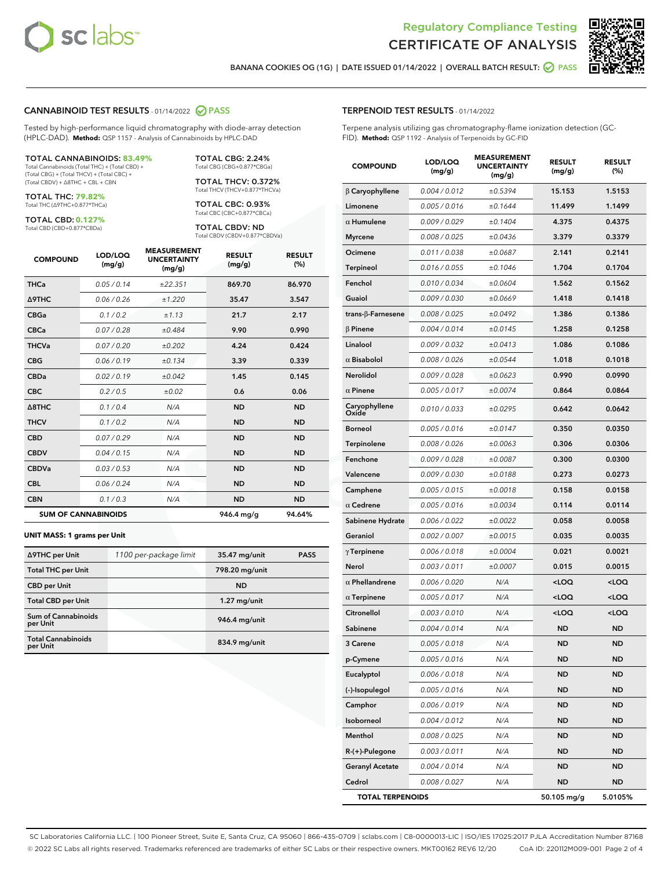



BANANA COOKIES OG (1G) | DATE ISSUED 01/14/2022 | OVERALL BATCH RESULT:  $\bigcirc$  PASS

#### CANNABINOID TEST RESULTS - 01/14/2022 2 PASS

Tested by high-performance liquid chromatography with diode-array detection (HPLC-DAD). **Method:** QSP 1157 - Analysis of Cannabinoids by HPLC-DAD

#### TOTAL CANNABINOIDS: **83.49%**

Total Cannabinoids (Total THC) + (Total CBD) + (Total CBG) + (Total THCV) + (Total CBC) + (Total CBDV) + ∆8THC + CBL + CBN

TOTAL THC: **79.82%** Total THC (∆9THC+0.877\*THCa)

TOTAL CBD: **0.127%**

Total CBD (CBD+0.877\*CBDa)

TOTAL CBG: 2.24% Total CBG (CBG+0.877\*CBGa)

TOTAL THCV: 0.372% Total THCV (THCV+0.877\*THCVa)

TOTAL CBC: 0.93% Total CBC (CBC+0.877\*CBCa)

TOTAL CBDV: ND Total CBDV (CBDV+0.877\*CBDVa)

| <b>COMPOUND</b>  | LOD/LOQ<br>(mg/g)          | <b>MEASUREMENT</b><br><b>UNCERTAINTY</b><br>(mg/g) | <b>RESULT</b><br>(mg/g) | <b>RESULT</b><br>(%) |
|------------------|----------------------------|----------------------------------------------------|-------------------------|----------------------|
| <b>THCa</b>      | 0.05 / 0.14                | ±22.351                                            | 869.70                  | 86.970               |
| <b>A9THC</b>     | 0.06 / 0.26                | ±1.220                                             | 35.47                   | 3.547                |
| <b>CBGa</b>      | 0.1 / 0.2                  | ±1.13                                              | 21.7                    | 2.17                 |
| <b>CBCa</b>      | 0.07 / 0.28                | ±0.484                                             | 9.90                    | 0.990                |
| <b>THCVa</b>     | 0.07/0.20                  | ±0.202                                             | 4.24                    | 0.424                |
| <b>CBG</b>       | 0.06/0.19                  | ±0.134                                             | 3.39                    | 0.339                |
| <b>CBDa</b>      | 0.02/0.19                  | ±0.042                                             | 1.45                    | 0.145                |
| <b>CBC</b>       | 0.2 / 0.5                  | ±0.02                                              | 0.6                     | 0.06                 |
| $\triangle$ 8THC | 0.1/0.4                    | N/A                                                | <b>ND</b>               | <b>ND</b>            |
| <b>THCV</b>      | 0.1 / 0.2                  | N/A                                                | <b>ND</b>               | <b>ND</b>            |
| <b>CBD</b>       | 0.07/0.29                  | N/A                                                | <b>ND</b>               | <b>ND</b>            |
| <b>CBDV</b>      | 0.04 / 0.15                | N/A                                                | <b>ND</b>               | <b>ND</b>            |
| <b>CBDVa</b>     | 0.03 / 0.53                | N/A                                                | <b>ND</b>               | <b>ND</b>            |
| <b>CBL</b>       | 0.06 / 0.24                | N/A                                                | <b>ND</b>               | <b>ND</b>            |
| <b>CBN</b>       | 0.1/0.3                    | N/A                                                | <b>ND</b>               | <b>ND</b>            |
|                  | <b>SUM OF CANNABINOIDS</b> |                                                    | 946.4 mg/g              | 94.64%               |

#### **UNIT MASS: 1 grams per Unit**

| ∆9THC per Unit                        | 1100 per-package limit | 35.47 mg/unit   | <b>PASS</b> |
|---------------------------------------|------------------------|-----------------|-------------|
| <b>Total THC per Unit</b>             |                        | 798.20 mg/unit  |             |
| <b>CBD</b> per Unit                   |                        | <b>ND</b>       |             |
| <b>Total CBD per Unit</b>             |                        | $1.27$ mg/unit  |             |
| Sum of Cannabinoids<br>per Unit       |                        | 946.4 mg/unit   |             |
| <b>Total Cannabinoids</b><br>per Unit |                        | $834.9$ mg/unit |             |

# TERPENOID TEST RESULTS - 01/14/2022

Terpene analysis utilizing gas chromatography-flame ionization detection (GC-FID). **Method:** QSP 1192 - Analysis of Terpenoids by GC-FID

| <b>COMPOUND</b>           | LOD/LOQ<br>(mg/g) | <b>MEASUREMENT</b><br><b>UNCERTAINTY</b><br>(mg/g) | <b>RESULT</b><br>(mg/g)                         | <b>RESULT</b><br>(%) |
|---------------------------|-------------------|----------------------------------------------------|-------------------------------------------------|----------------------|
| $\beta$ Caryophyllene     | 0.004 / 0.012     | ±0.5394                                            | 15.153                                          | 1.5153               |
| Limonene                  | 0.005 / 0.016     | ±0.1644                                            | 11.499                                          | 1.1499               |
| $\alpha$ Humulene         | 0.009 / 0.029     | ±0.1404                                            | 4.375                                           | 0.4375               |
| <b>Myrcene</b>            | 0.008 / 0.025     | ±0.0436                                            | 3.379                                           | 0.3379               |
| Ocimene                   | 0.011 / 0.038     | ±0.0687                                            | 2.141                                           | 0.2141               |
| <b>Terpineol</b>          | 0.016 / 0.055     | ±0.1046                                            | 1.704                                           | 0.1704               |
| Fenchol                   | 0.010 / 0.034     | ±0.0604                                            | 1.562                                           | 0.1562               |
| Guaiol                    | 0.009 / 0.030     | ±0.0669                                            | 1.418                                           | 0.1418               |
| trans- $\beta$ -Farnesene | 0.008 / 0.025     | ±0.0492                                            | 1.386                                           | 0.1386               |
| $\beta$ Pinene            | 0.004 / 0.014     | ±0.0145                                            | 1.258                                           | 0.1258               |
| Linalool                  | 0.009 / 0.032     | ±0.0413                                            | 1.086                                           | 0.1086               |
| $\alpha$ Bisabolol        | 0.008 / 0.026     | ±0.0544                                            | 1.018                                           | 0.1018               |
| Nerolidol                 | 0.009 / 0.028     | ±0.0623                                            | 0.990                                           | 0.0990               |
| $\alpha$ Pinene           | 0.005 / 0.017     | ±0.0074                                            | 0.864                                           | 0.0864               |
| Caryophyllene<br>Oxide    | 0.010 / 0.033     | ±0.0295                                            | 0.642                                           | 0.0642               |
| <b>Borneol</b>            | 0.005 / 0.016     | ±0.0147                                            | 0.350                                           | 0.0350               |
| Terpinolene               | 0.008 / 0.026     | ±0.0063                                            | 0.306                                           | 0.0306               |
| Fenchone                  | 0.009 / 0.028     | ±0.0087                                            | 0.300                                           | 0.0300               |
| Valencene                 | 0.009 / 0.030     | ±0.0188                                            | 0.273                                           | 0.0273               |
| Camphene                  | 0.005 / 0.015     | ±0.0018                                            | 0.158                                           | 0.0158               |
| $\alpha$ Cedrene          | 0.005 / 0.016     | ±0.0034                                            | 0.114                                           | 0.0114               |
| Sabinene Hydrate          | 0.006 / 0.022     | ±0.0022                                            | 0.058                                           | 0.0058               |
| Geraniol                  | 0.002 / 0.007     | ±0.0015                                            | 0.035                                           | 0.0035               |
| $\gamma$ Terpinene        | 0.006 / 0.018     | ±0.0004                                            | 0.021                                           | 0.0021               |
| Nerol                     | 0.003 / 0.011     | ±0.0007                                            | 0.015                                           | 0.0015               |
| $\alpha$ Phellandrene     | 0.006 / 0.020     | N/A                                                | <loq< th=""><th><loq< th=""></loq<></th></loq<> | <loq< th=""></loq<>  |
| $\alpha$ Terpinene        | 0.005 / 0.017     | N/A                                                | <loq< th=""><th><loq< th=""></loq<></th></loq<> | <loq< th=""></loq<>  |
| Citronellol               | 0.003 / 0.010     | N/A                                                | <loq< th=""><th><loq< th=""></loq<></th></loq<> | <loq< th=""></loq<>  |
| Sabinene                  | 0.004 / 0.014     | N/A                                                | ND                                              | <b>ND</b>            |
| 3 Carene                  | 0.005 / 0.018     | N/A                                                | <b>ND</b>                                       | <b>ND</b>            |
| p-Cymene                  | 0.005 / 0.016     | N/A                                                | ND                                              | ND                   |
| Eucalyptol                | 0.006 / 0.018     | N/A                                                | ND                                              | ND                   |
| (-)-Isopulegol            | 0.005 / 0.016     | N/A                                                | ND                                              | ND                   |
| Camphor                   | 0.006 / 0.019     | N/A                                                | ND                                              | ND                   |
| Isoborneol                | 0.004 / 0.012     | N/A                                                | ND                                              | ND                   |
| Menthol                   | 0.008 / 0.025     | N/A                                                | ND                                              | ND                   |
| R-(+)-Pulegone            | 0.003 / 0.011     | N/A                                                | ND                                              | ND                   |
| <b>Geranyl Acetate</b>    | 0.004 / 0.014     | N/A                                                | ND                                              | ND                   |
| Cedrol                    | 0.008 / 0.027     | N/A                                                | ND                                              | ND                   |
| <b>TOTAL TERPENOIDS</b>   |                   |                                                    | 50.105 mg/g                                     | 5.0105%              |

SC Laboratories California LLC. | 100 Pioneer Street, Suite E, Santa Cruz, CA 95060 | 866-435-0709 | sclabs.com | C8-0000013-LIC | ISO/IES 17025:2017 PJLA Accreditation Number 87168 © 2022 SC Labs all rights reserved. Trademarks referenced are trademarks of either SC Labs or their respective owners. MKT00162 REV6 12/20 CoA ID: 220112M009-001 Page 2 of 4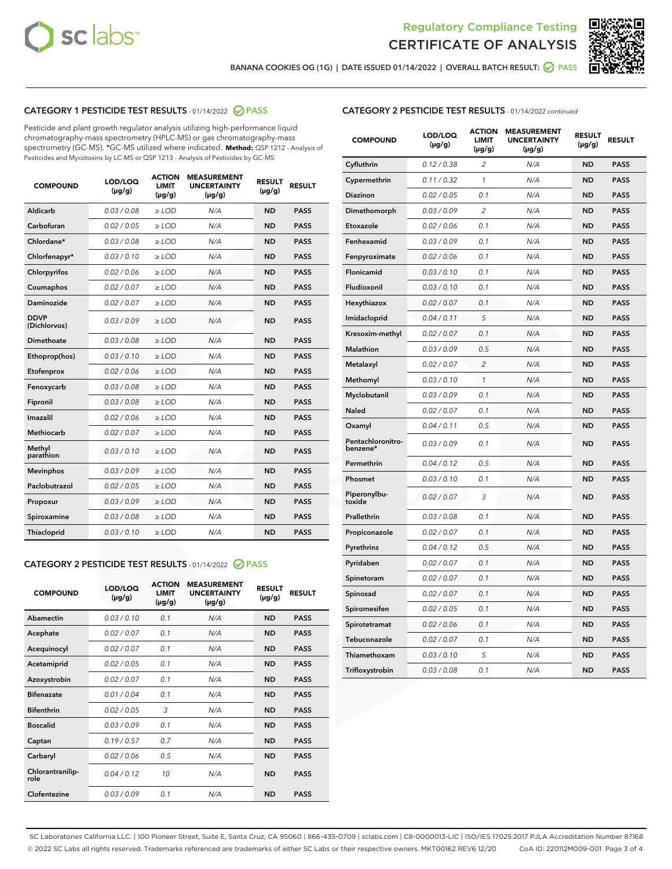



BANANA COOKIES OG (1G) | DATE ISSUED 01/14/2022 | OVERALL BATCH RESULT: @ PASS

# CATEGORY 1 PESTICIDE TEST RESULTS - 01/14/2022 2 PASS

Pesticide and plant growth regulator analysis utilizing high-performance liquid chromatography-mass spectrometry (HPLC-MS) or gas chromatography-mass spectrometry (GC-MS). \*GC-MS utilized where indicated. **Method:** QSP 1212 - Analysis of Pesticides and Mycotoxins by LC-MS or QSP 1213 - Analysis of Pesticides by GC-MS

| <b>COMPOUND</b>             | LOD/LOQ<br>$(\mu g/g)$ | <b>ACTION</b><br><b>LIMIT</b><br>$(\mu g/g)$ | <b>MEASUREMENT</b><br><b>UNCERTAINTY</b><br>$(\mu g/g)$ | <b>RESULT</b><br>$(\mu g/g)$ | <b>RESULT</b> |
|-----------------------------|------------------------|----------------------------------------------|---------------------------------------------------------|------------------------------|---------------|
| Aldicarb                    | 0.03 / 0.08            | $\geq$ LOD                                   | N/A                                                     | <b>ND</b>                    | <b>PASS</b>   |
| Carbofuran                  | 0.02/0.05              | $>$ LOD                                      | N/A                                                     | <b>ND</b>                    | <b>PASS</b>   |
| Chlordane*                  | 0.03 / 0.08            | $\ge$ LOD                                    | N/A                                                     | <b>ND</b>                    | <b>PASS</b>   |
| Chlorfenapyr*               | 0.03/0.10              | $>$ LOD                                      | N/A                                                     | <b>ND</b>                    | <b>PASS</b>   |
| Chlorpyrifos                | 0.02 / 0.06            | $\ge$ LOD                                    | N/A                                                     | <b>ND</b>                    | <b>PASS</b>   |
| Coumaphos                   | 0.02 / 0.07            | $\ge$ LOD                                    | N/A                                                     | <b>ND</b>                    | <b>PASS</b>   |
| Daminozide                  | 0.02 / 0.07            | $\ge$ LOD                                    | N/A                                                     | <b>ND</b>                    | <b>PASS</b>   |
| <b>DDVP</b><br>(Dichlorvos) | 0.03/0.09              | $\ge$ LOD                                    | N/A                                                     | <b>ND</b>                    | <b>PASS</b>   |
| Dimethoate                  | 0.03/0.08              | $>$ LOD                                      | N/A                                                     | <b>ND</b>                    | <b>PASS</b>   |
| Ethoprop(hos)               | 0.03/0.10              | $\ge$ LOD                                    | N/A                                                     | <b>ND</b>                    | <b>PASS</b>   |
| Etofenprox                  | 0.02 / 0.06            | $\ge$ LOD                                    | N/A                                                     | <b>ND</b>                    | <b>PASS</b>   |
| Fenoxycarb                  | 0.03 / 0.08            | $\ge$ LOD                                    | N/A                                                     | <b>ND</b>                    | <b>PASS</b>   |
| Fipronil                    | 0.03/0.08              | $>$ LOD                                      | N/A                                                     | <b>ND</b>                    | <b>PASS</b>   |
| Imazalil                    | 0.02 / 0.06            | $\ge$ LOD                                    | N/A                                                     | <b>ND</b>                    | <b>PASS</b>   |
| <b>Methiocarb</b>           | 0.02 / 0.07            | $\ge$ LOD                                    | N/A                                                     | <b>ND</b>                    | <b>PASS</b>   |
| Methyl<br>parathion         | 0.03/0.10              | $\ge$ LOD                                    | N/A                                                     | <b>ND</b>                    | <b>PASS</b>   |
| <b>Mevinphos</b>            | 0.03/0.09              | $>$ LOD                                      | N/A                                                     | <b>ND</b>                    | <b>PASS</b>   |
| Paclobutrazol               | 0.02 / 0.05            | $\ge$ LOD                                    | N/A                                                     | <b>ND</b>                    | <b>PASS</b>   |
| Propoxur                    | 0.03/0.09              | $\ge$ LOD                                    | N/A                                                     | <b>ND</b>                    | <b>PASS</b>   |
| Spiroxamine                 | 0.03 / 0.08            | $\ge$ LOD                                    | N/A                                                     | <b>ND</b>                    | <b>PASS</b>   |
| Thiacloprid                 | 0.03/0.10              | $\ge$ LOD                                    | N/A                                                     | <b>ND</b>                    | <b>PASS</b>   |

#### CATEGORY 2 PESTICIDE TEST RESULTS - 01/14/2022 2 PASS

| <b>COMPOUND</b>          | LOD/LOO<br>$(\mu g/g)$ | <b>ACTION</b><br>LIMIT<br>$(\mu g/g)$ | <b>MEASUREMENT</b><br><b>UNCERTAINTY</b><br>$(\mu g/g)$ | <b>RESULT</b><br>$(\mu g/g)$ | <b>RESULT</b> |  |
|--------------------------|------------------------|---------------------------------------|---------------------------------------------------------|------------------------------|---------------|--|
| Abamectin                | 0.03/0.10              | 0.1                                   | N/A                                                     | <b>ND</b>                    | <b>PASS</b>   |  |
| Acephate                 | 0.02/0.07              | 0.1                                   | N/A                                                     | <b>ND</b>                    | <b>PASS</b>   |  |
| Acequinocyl              | 0.02/0.07              | 0.1                                   | N/A                                                     | <b>ND</b>                    | <b>PASS</b>   |  |
| Acetamiprid              | 0.02 / 0.05            | 0.1                                   | N/A                                                     | <b>ND</b>                    | <b>PASS</b>   |  |
| Azoxystrobin             | 0.02/0.07              | 0.1                                   | N/A                                                     | <b>ND</b>                    | <b>PASS</b>   |  |
| <b>Bifenazate</b>        | 0.01 / 0.04            | 0.1                                   | N/A                                                     | <b>ND</b>                    | <b>PASS</b>   |  |
| <b>Bifenthrin</b>        | 0.02/0.05              | 3                                     | N/A                                                     | <b>ND</b>                    | <b>PASS</b>   |  |
| <b>Boscalid</b>          | 0.03/0.09              | 0.1                                   | N/A                                                     | <b>ND</b>                    | <b>PASS</b>   |  |
| Captan                   | 0.19/0.57              | 0.7                                   | N/A                                                     | <b>ND</b>                    | <b>PASS</b>   |  |
| Carbaryl                 | 0.02/0.06              | 0.5                                   | N/A                                                     | <b>ND</b>                    | <b>PASS</b>   |  |
| Chlorantranilip-<br>role | 0.04/0.12              | 10                                    | N/A                                                     | <b>ND</b>                    | <b>PASS</b>   |  |
| Clofentezine             | 0.03/0.09              | 0.1                                   | N/A                                                     | <b>ND</b>                    | <b>PASS</b>   |  |

# CATEGORY 2 PESTICIDE TEST RESULTS - 01/14/2022 continued

| <b>COMPOUND</b>               | LOD/LOQ<br>(µg/g) | <b>ACTION</b><br><b>LIMIT</b><br>$(\mu g/g)$ | <b>MEASUREMENT</b><br><b>UNCERTAINTY</b><br>$(\mu g/g)$ | <b>RESULT</b><br>(µg/g) | <b>RESULT</b> |
|-------------------------------|-------------------|----------------------------------------------|---------------------------------------------------------|-------------------------|---------------|
| Cyfluthrin                    | 0.12 / 0.38       | $\overline{c}$                               | N/A                                                     | <b>ND</b>               | <b>PASS</b>   |
| Cypermethrin                  | 0.11 / 0.32       | 1                                            | N/A                                                     | ND                      | <b>PASS</b>   |
| Diazinon                      | 0.02 / 0.05       | 0.1                                          | N/A                                                     | ND                      | <b>PASS</b>   |
| Dimethomorph                  | 0.03 / 0.09       | 2                                            | N/A                                                     | ND                      | <b>PASS</b>   |
| Etoxazole                     | 0.02 / 0.06       | 0.1                                          | N/A                                                     | <b>ND</b>               | <b>PASS</b>   |
| Fenhexamid                    | 0.03 / 0.09       | 0.1                                          | N/A                                                     | <b>ND</b>               | <b>PASS</b>   |
| Fenpyroximate                 | 0.02 / 0.06       | 0.1                                          | N/A                                                     | ND                      | <b>PASS</b>   |
| Flonicamid                    | 0.03 / 0.10       | 0.1                                          | N/A                                                     | ND                      | <b>PASS</b>   |
| Fludioxonil                   | 0.03 / 0.10       | 0.1                                          | N/A                                                     | <b>ND</b>               | <b>PASS</b>   |
| Hexythiazox                   | 0.02 / 0.07       | 0.1                                          | N/A                                                     | ND                      | <b>PASS</b>   |
| Imidacloprid                  | 0.04 / 0.11       | 5                                            | N/A                                                     | ND                      | <b>PASS</b>   |
| Kresoxim-methyl               | 0.02 / 0.07       | 0.1                                          | N/A                                                     | <b>ND</b>               | <b>PASS</b>   |
| <b>Malathion</b>              | 0.03 / 0.09       | 0.5                                          | N/A                                                     | ND                      | <b>PASS</b>   |
| Metalaxyl                     | 0.02 / 0.07       | $\overline{c}$                               | N/A                                                     | ND                      | <b>PASS</b>   |
| Methomyl                      | 0.03 / 0.10       | 1                                            | N/A                                                     | <b>ND</b>               | <b>PASS</b>   |
| Myclobutanil                  | 0.03 / 0.09       | 0.1                                          | N/A                                                     | ND                      | <b>PASS</b>   |
| Naled                         | 0.02 / 0.07       | 0.1                                          | N/A                                                     | ND                      | <b>PASS</b>   |
| Oxamyl                        | 0.04 / 0.11       | 0.5                                          | N/A                                                     | ND                      | <b>PASS</b>   |
| Pentachloronitro-<br>benzene* | 0.03 / 0.09       | 0.1                                          | N/A                                                     | ND                      | <b>PASS</b>   |
| Permethrin                    | 0.04 / 0.12       | 0.5                                          | N/A                                                     | <b>ND</b>               | <b>PASS</b>   |
| Phosmet                       | 0.03 / 0.10       | 0.1                                          | N/A                                                     | <b>ND</b>               | <b>PASS</b>   |
| Piperonylbu-<br>toxide        | 0.02 / 0.07       | 3                                            | N/A                                                     | ND                      | <b>PASS</b>   |
| Prallethrin                   | 0.03 / 0.08       | 0.1                                          | N/A                                                     | <b>ND</b>               | <b>PASS</b>   |
| Propiconazole                 | 0.02 / 0.07       | 0.1                                          | N/A                                                     | ND                      | <b>PASS</b>   |
| Pyrethrins                    | 0.04 / 0.12       | 0.5                                          | N/A                                                     | ND                      | <b>PASS</b>   |
| Pyridaben                     | 0.02 / 0.07       | 0.1                                          | N/A                                                     | ND                      | <b>PASS</b>   |
| Spinetoram                    | 0.02 / 0.07       | 0.1                                          | N/A                                                     | ND                      | <b>PASS</b>   |
| Spinosad                      | 0.02 / 0.07       | 0.1                                          | N/A                                                     | ND                      | <b>PASS</b>   |
| Spiromesifen                  | 0.02 / 0.05       | 0.1                                          | N/A                                                     | <b>ND</b>               | <b>PASS</b>   |
| Spirotetramat                 | 0.02 / 0.06       | 0.1                                          | N/A                                                     | ND                      | <b>PASS</b>   |
| Tebuconazole                  | 0.02 / 0.07       | 0.1                                          | N/A                                                     | ND                      | <b>PASS</b>   |
| Thiamethoxam                  | 0.03 / 0.10       | 5                                            | N/A                                                     | <b>ND</b>               | <b>PASS</b>   |
| Trifloxystrobin               | 0.03 / 0.08       | 0.1                                          | N/A                                                     | <b>ND</b>               | <b>PASS</b>   |

SC Laboratories California LLC. | 100 Pioneer Street, Suite E, Santa Cruz, CA 95060 | 866-435-0709 | sclabs.com | C8-0000013-LIC | ISO/IES 17025:2017 PJLA Accreditation Number 87168 © 2022 SC Labs all rights reserved. Trademarks referenced are trademarks of either SC Labs or their respective owners. MKT00162 REV6 12/20 CoA ID: 220112M009-001 Page 3 of 4